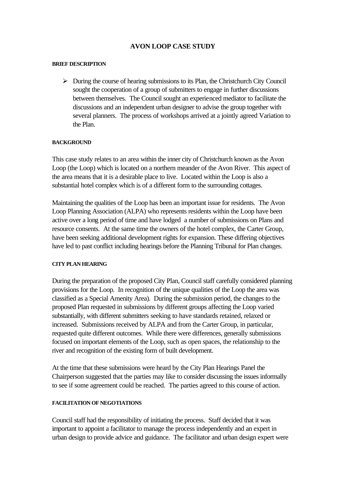# **AVON LOOP CASE STUDY**

#### **BRIEF DESCRIPTION**

 $\triangleright$  During the course of hearing submissions to its Plan, the Christchurch City Council sought the cooperation of a group of submitters to engage in further discussions between themselves. The Council sought an experienced mediator to facilitate the discussions and an independent urban designer to advise the group together with several planners. The process of workshops arrived at a jointly agreed Variation to the Plan.

#### **BACKGROUND**

This case study relates to an area within the inner city of Christchurch known as the Avon Loop (the Loop) which is located on a northern meander of the Avon River. This aspect of the area means that it is a desirable place to live. Located within the Loop is also a substantial hotel complex which is of a different form to the surrounding cottages.

Maintaining the qualities of the Loop has been an important issue for residents. The Avon Loop Planning Association (ALPA) who represents residents within the Loop have been active over a long period of time and have lodged a number of submissions on Plans and resource consents. At the same time the owners of the hotel complex, the Carter Group, have been seeking additional development rights for expansion. These differing objectives have led to past conflict including hearings before the Planning Tribunal for Plan changes.

#### **CITY PLAN HEARING**

During the preparation of the proposed City Plan, Council staff carefully considered planning provisions for the Loop. In recognition of the unique qualities of the Loop the area was classified as a Special Amenity Area). During the submission period, the changes to the proposed Plan requested in submissions by different groups affecting the Loop varied substantially, with different submitters seeking to have standards retained, relaxed or increased. Submissions received by ALPA and from the Carter Group, in particular, requested quite different outcomes. While there were differences, generally submissions focused on important elements of the Loop, such as open spaces, the relationship to the river and recognition of the existing form of built development.

At the time that these submissions were heard by the City Plan Hearings Panel the Chairperson suggested that the parties may like to consider discussing the issues informally to see if some agreement could be reached. The parties agreed to this course of action.

#### **FACILITATION OF NEGOTIATIONS**

Council staff had the responsibility of initiating the process. Staff decided that it was important to appoint a facilitator to manage the process independently and an expert in urban design to provide advice and guidance. The facilitator and urban design expert were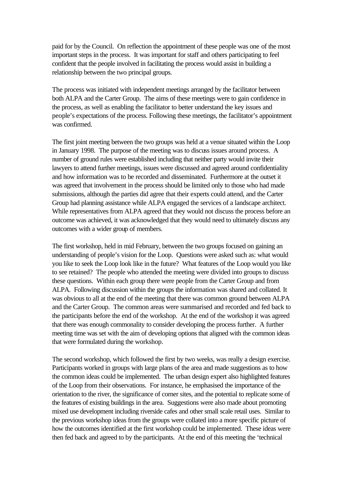paid for by the Council. On reflection the appointment of these people was one of the most important steps in the process. It was important for staff and others participating to feel confident that the people involved in facilitating the process would assist in building a relationship between the two principal groups.

The process was initiated with independent meetings arranged by the facilitator between both ALPA and the Carter Group. The aims of these meetings were to gain confidence in the process, as well as enabling the facilitator to better understand the key issues and people's expectations of the process. Following these meetings, the facilitator's appointment was confirmed.

The first joint meeting between the two groups was held at a venue situated within the Loop in January 1998. The purpose of the meeting was to discuss issues around process. A number of ground rules were established including that neither party would invite their lawyers to attend further meetings, issues were discussed and agreed around confidentiality and how information was to be recorded and disseminated. Furthermore at the outset it was agreed that involvement in the process should be limited only to those who had made submissions, although the parties did agree that their experts could attend, and the Carter Group had planning assistance while ALPA engaged the services of a landscape architect. While representatives from ALPA agreed that they would not discuss the process before an outcome was achieved, it was acknowledged that they would need to ultimately discuss any outcomes with a wider group of members.

The first workshop, held in mid February, between the two groups focused on gaining an understanding of people's vision for the Loop. Questions were asked such as: what would you like to seek the Loop look like in the future? What features of the Loop would you like to see retained? The people who attended the meeting were divided into groups to discuss these questions. Within each group there were people from the Carter Group and from ALPA. Following discussion within the groups the information was shared and collated. It was obvious to all at the end of the meeting that there was common ground between ALPA and the Carter Group. The common areas were summarised and recorded and fed back to the participants before the end of the workshop. At the end of the workshop it was agreed that there was enough commonality to consider developing the process further. A further meeting time was set with the aim of developing options that aligned with the common ideas that were formulated during the workshop.

The second workshop, which followed the first by two weeks, was really a design exercise. Participants worked in groups with large plans of the area and made suggestions as to how the common ideas could be implemented. The urban design expert also highlighted features of the Loop from their observations. For instance, he emphasised the importance of the orientation to the river, the significance of corner sites, and the potential to replicate some of the features of existing buildings in the area. Suggestions were also made about promoting mixed use development including riverside cafes and other small scale retail uses. Similar to the previous workshop ideas from the groups were collated into a more specific picture of how the outcomes identified at the first workshop could be implemented. These ideas were then fed back and agreed to by the participants. At the end of this meeting the 'technical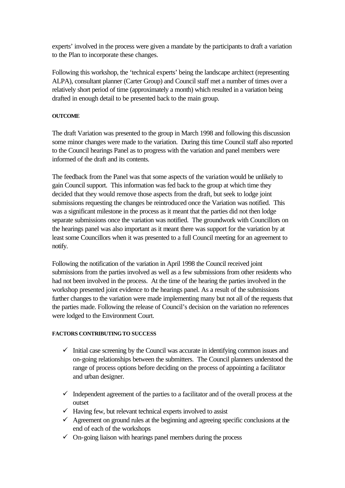experts' involved in the process were given a mandate by the participants to draft a variation to the Plan to incorporate these changes.

Following this workshop, the 'technical experts' being the landscape architect (representing ALPA), consultant planner (Carter Group) and Council staff met a number of times over a relatively short period of time (approximately a month) which resulted in a variation being drafted in enough detail to be presented back to the main group.

### **OUTCOME**

The draft Variation was presented to the group in March 1998 and following this discussion some minor changes were made to the variation. During this time Council staff also reported to the Council hearings Panel as to progress with the variation and panel members were informed of the draft and its contents.

The feedback from the Panel was that some aspects of the variation would be unlikely to gain Council support. This information was fed back to the group at which time they decided that they would remove those aspects from the draft, but seek to lodge joint submissions requesting the changes be reintroduced once the Variation was notified. This was a significant milestone in the process as it meant that the parties did not then lodge separate submissions once the variation was notified. The groundwork with Councillors on the hearings panel was also important as it meant there was support for the variation by at least some Councillors when it was presented to a full Council meeting for an agreement to notify.

Following the notification of the variation in April 1998 the Council received joint submissions from the parties involved as well as a few submissions from other residents who had not been involved in the process. At the time of the hearing the parties involved in the workshop presented joint evidence to the hearings panel. As a result of the submissions further changes to the variation were made implementing many but not all of the requests that the parties made. Following the release of Council's decision on the variation no references were lodged to the Environment Court.

#### **FACTORS CONTRIBUTING TO SUCCESS**

- $\checkmark$  Initial case screening by the Council was accurate in identifying common issues and on-going relationships between the submitters. The Council planners understood the range of process options before deciding on the process of appointing a facilitator and urban designer.
- $\checkmark$  Independent agreement of the parties to a facilitator and of the overall process at the outset
- $\checkmark$  Having few, but relevant technical experts involved to assist
- $\checkmark$  Agreement on ground rules at the beginning and agreeing specific conclusions at the end of each of the workshops
- $\checkmark$  On-going liaison with hearings panel members during the process